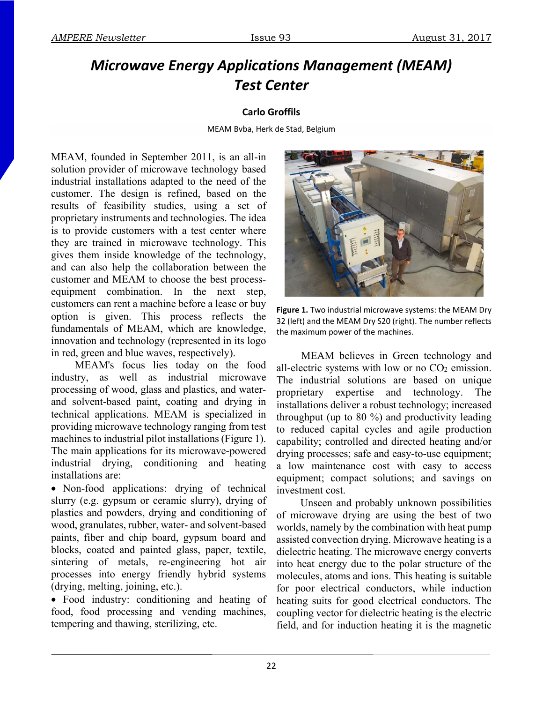## *Microwave Energy Applications Management (MEAM) Test Center*

## **Carlo Groffils**

MEAM Bvba, Herk de Stad, Belgium

MEAM, founded in September 2011, is an all-in solution provider of microwave technology based industrial installations adapted to the need of the customer. The design is refined, based on the results of feasibility studies, using a set of proprietary instruments and technologies. The idea is to provide customers with a test center where they are trained in microwave technology. This gives them inside knowledge of the technology, and can also help the collaboration between the customer and MEAM to choose the best processequipment combination. In the next step, customers can rent a machine before a lease or buy option is given. This process reflects the fundamentals of MEAM, which are knowledge, innovation and technology (represented in its logo in red, green and blue waves, respectively).

MEAM's focus lies today on the food industry, as well as industrial microwave processing of wood, glass and plastics, and waterand solvent-based paint, coating and drying in technical applications. MEAM is specialized in providing microwave technology ranging from test machines to industrial pilot installations (Figure 1). The main applications for its microwave-powered industrial drying, conditioning and heating installations are:

• Non-food applications: drying of technical slurry (e.g. gypsum or ceramic slurry), drying of plastics and powders, drying and conditioning of wood, granulates, rubber, water- and solvent-based paints, fiber and chip board, gypsum board and blocks, coated and painted glass, paper, textile, sintering of metals, re-engineering hot air processes into energy friendly hybrid systems (drying, melting, joining, etc.).

 Food industry: conditioning and heating of food, food processing and vending machines, tempering and thawing, sterilizing, etc.



**Figure 1.** Two industrial microwave systems: the MEAM Dry 32 (left) and the MEAM Dry S20 (right). The number reflects the maximum power of the machines.

 MEAM believes in Green technology and all-electric systems with low or no CO<sub>2</sub> emission. The industrial solutions are based on unique proprietary expertise and technology. The installations deliver a robust technology; increased throughput (up to 80 %) and productivity leading to reduced capital cycles and agile production capability; controlled and directed heating and/or drying processes; safe and easy-to-use equipment; a low maintenance cost with easy to access equipment; compact solutions; and savings on investment cost.

Unseen and probably unknown possibilities of microwave drying are using the best of two worlds, namely by the combination with heat pump assisted convection drying. Microwave heating is a dielectric heating. The microwave energy converts into heat energy due to the polar structure of the molecules, atoms and ions. This heating is suitable for poor electrical conductors, while induction heating suits for good electrical conductors. The coupling vector for dielectric heating is the electric field, and for induction heating it is the magnetic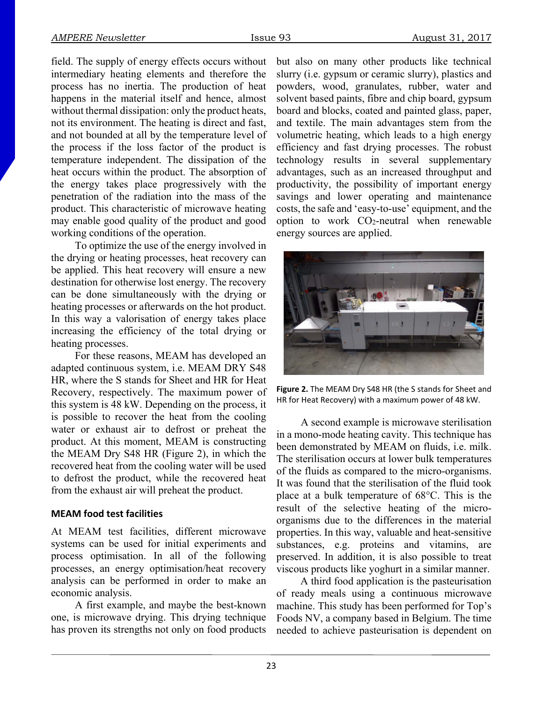field. The supply of energy effects occurs without intermediary heating elements and therefore the process has no inertia. The production of heat happens in the material itself and hence, almost without thermal dissipation: only the product heats, not its environment. The heating is direct and fast, and not bounded at all by the temperature level of the process if the loss factor of the product is temperature independent. The dissipation of the heat occurs within the product. The absorption of the energy takes place progressively with the penetration of the radiation into the mass of the product. This characteristic of microwave heating may enable good quality of the product and good working conditions of the operation.

To optimize the use of the energy involved in the drying or heating processes, heat recovery can be applied. This heat recovery will ensure a new destination for otherwise lost energy. The recovery can be done simultaneously with the drying or heating processes or afterwards on the hot product. In this way a valorisation of energy takes place increasing the efficiency of the total drying or heating processes.

For these reasons, MEAM has developed an adapted continuous system, i.e. MEAM DRY S48 HR, where the S stands for Sheet and HR for Heat Recovery, respectively. The maximum power of this system is 48 kW. Depending on the process, it is possible to recover the heat from the cooling water or exhaust air to defrost or preheat the product. At this moment, MEAM is constructing the MEAM Dry S48 HR (Figure 2), in which the recovered heat from the cooling water will be used to defrost the product, while the recovered heat from the exhaust air will preheat the product.

## **MEAM food test facilities**

At MEAM test facilities, different microwave systems can be used for initial experiments and process optimisation. In all of the following processes, an energy optimisation/heat recovery analysis can be performed in order to make an economic analysis.

A first example, and maybe the best-known one, is microwave drying. This drying technique has proven its strengths not only on food products

but also on many other products like technical slurry (i.e. gypsum or ceramic slurry), plastics and powders, wood, granulates, rubber, water and solvent based paints, fibre and chip board, gypsum board and blocks, coated and painted glass, paper, and textile. The main advantages stem from the volumetric heating, which leads to a high energy efficiency and fast drying processes. The robust technology results in several supplementary advantages, such as an increased throughput and productivity, the possibility of important energy savings and lower operating and maintenance costs, the safe and 'easy-to-use' equipment, and the option to work CO2-neutral when renewable energy sources are applied.



**Figure 2.** The MEAM Dry S48 HR (the S stands for Sheet and HR for Heat Recovery) with a maximum power of 48 kW.

A second example is microwave sterilisation in a mono-mode heating cavity. This technique has been demonstrated by MEAM on fluids, i.e. milk. The sterilisation occurs at lower bulk temperatures of the fluids as compared to the micro-organisms. It was found that the sterilisation of the fluid took place at a bulk temperature of 68°C. This is the result of the selective heating of the microorganisms due to the differences in the material properties. In this way, valuable and heat-sensitive substances, e.g. proteins and vitamins, are preserved. In addition, it is also possible to treat viscous products like yoghurt in a similar manner.

A third food application is the pasteurisation of ready meals using a continuous microwave machine. This study has been performed for Top's Foods NV, a company based in Belgium. The time needed to achieve pasteurisation is dependent on